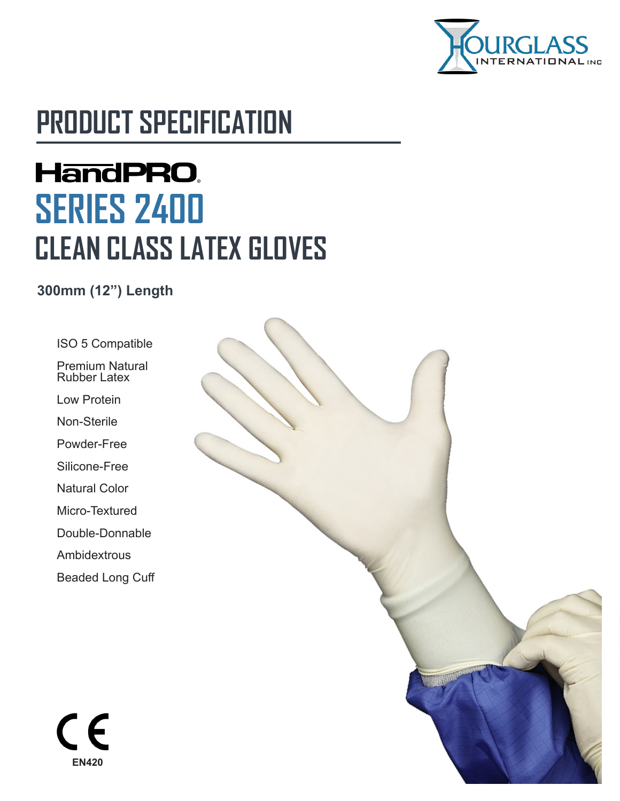

# **PRODUCT SPECIFICATION**

# **HandPRO. SERIES 2400 CLEAN CLASS LATEX GLOVES**

**300mm (12") Length**

ISO 5 Compatible

Premium Natural Rubber Latex

Low Protein

Non-Sterile

Powder-Free

Silicone-Free

Natural Color

Micro-Textured

Double-Donnable

Ambidextrous

Beaded Long Cuff

 $\epsilon$ **EN420**